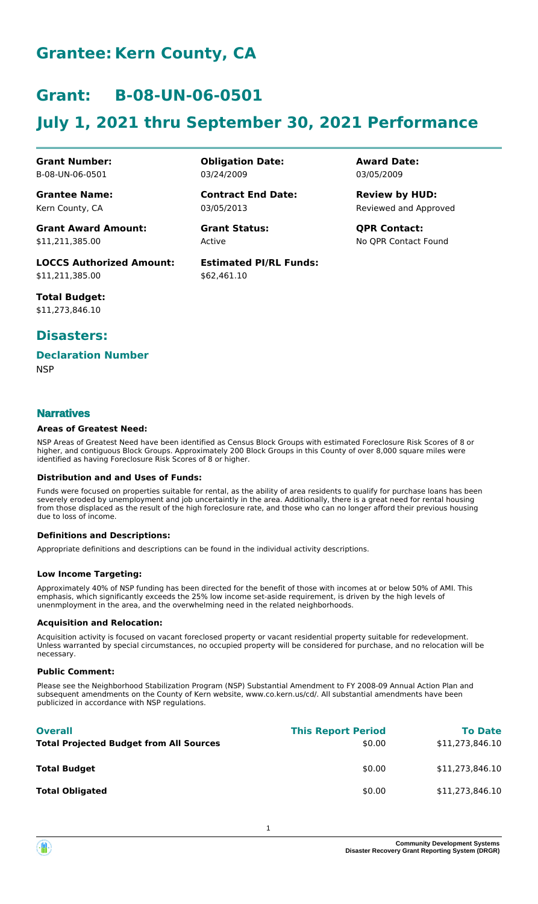# **Grantee: Kern County, CA**

# **Grant: B-08-UN-06-0501**

# **July 1, 2021 thru September 30, 2021 Performance**

**Award Date:** 03/05/2009

Reviewed and Approved **Review by HUD:**

No QPR Contact Found

**Obligation Date:**

**Contract End Date:**

**Estimated PI/RL Funds:**

**Grant Status: QPR Contact:**

\$62,461.10

Active

03/24/2009

03/05/2013

**Grant Number:** B-08-UN-06-0501

**Grantee Name:** Kern County, CA

**Grant Award Amount:** \$11,211,385.00

**LOCCS Authorized Amount:** \$11,211,385.00

**Total Budget:** \$11,273,846.10

## **Disasters:**

### **Declaration Number**

**NSP** 

### **Narratives**

#### **Areas of Greatest Need:**

NSP Areas of Greatest Need have been identified as Census Block Groups with estimated Foreclosure Risk Scores of 8 or higher, and contiguous Block Groups. Approximately 200 Block Groups in this County of over 8,000 square miles were identified as having Foreclosure Risk Scores of 8 or higher.

#### **Distribution and and Uses of Funds:**

Funds were focused on properties suitable for rental, as the ability of area residents to qualify for purchase loans has been severely eroded by unemployment and job uncertaintly in the area. Additionally, there is a great need for rental housing from those displaced as the result of the high foreclosure rate, and those who can no longer afford their previous housing due to loss of income.

#### **Definitions and Descriptions:**

Appropriate definitions and descriptions can be found in the individual activity descriptions.

#### **Low Income Targeting:**

Approximately 40% of NSP funding has been directed for the benefit of those with incomes at or below 50% of AMI. This emphasis, which significantly exceeds the 25% low income set-aside requirement, is driven by the high levels of unenmployment in the area, and the overwhelming need in the related neighborhoods.

#### **Acquisition and Relocation:**

Acquisition activity is focused on vacant foreclosed property or vacant residential property suitable for redevelopment. Unless warranted by special circumstances, no occupied property will be considered for purchase, and no relocation will be necessary.

#### **Public Comment:**

Please see the Neighborhood Stabilization Program (NSP) Substantial Amendment to FY 2008-09 Annual Action Plan and subsequent amendments on the County of Kern website, www.co.kern.us/cd/. All substantial amendments have been publicized in accordance with NSP regulations.

| <b>Overall</b><br><b>Total Projected Budget from All Sources</b> | <b>This Report Period</b><br>\$0.00 | <b>To Date</b><br>\$11,273,846.10 |
|------------------------------------------------------------------|-------------------------------------|-----------------------------------|
| <b>Total Budget</b>                                              | \$0.00                              | \$11,273,846.10                   |
| <b>Total Obligated</b>                                           | \$0.00                              | \$11,273,846.10                   |

**Community Development System Disaster Recovery Grant Reporting System (DRGR)**

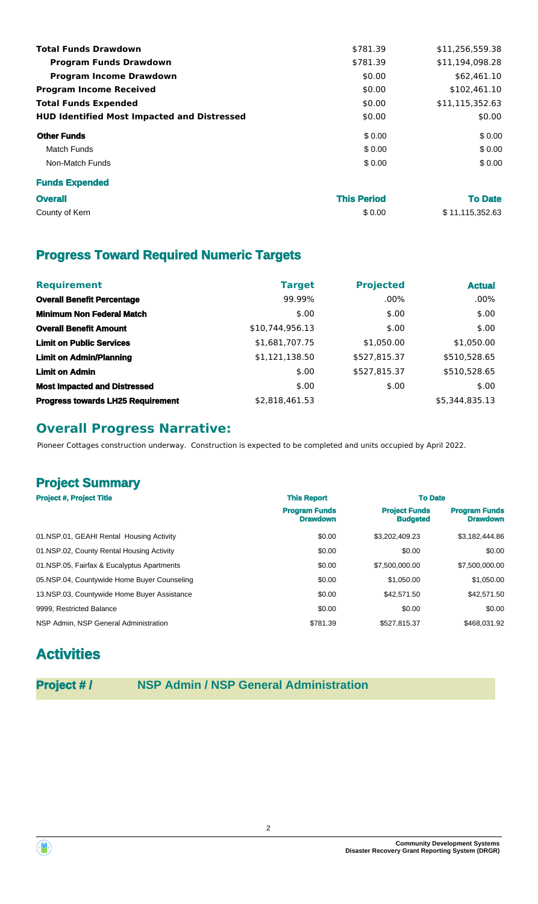| <b>Total Funds Drawdown</b>                        | \$781.39           | \$11,256,559.38 |
|----------------------------------------------------|--------------------|-----------------|
| <b>Program Funds Drawdown</b>                      | \$781.39           | \$11,194,098.28 |
| <b>Program Income Drawdown</b>                     | \$0.00             | \$62,461.10     |
| <b>Program Income Received</b>                     | \$0.00             | \$102,461.10    |
| <b>Total Funds Expended</b>                        | \$0.00             | \$11,115,352.63 |
| <b>HUD Identified Most Impacted and Distressed</b> | \$0.00             | \$0.00          |
| <b>Other Funds</b>                                 | \$ 0.00            | \$0.00          |
| <b>Match Funds</b>                                 | \$0.00             | \$0.00          |
| Non-Match Funds                                    | \$0.00             | \$0.00          |
| <b>Funds Expended</b>                              |                    |                 |
| <b>Overall</b>                                     | <b>This Period</b> | <b>To Date</b>  |
| County of Kern                                     | \$0.00             | \$11,115,352.63 |

# **Progress Toward Required Numeric Targets**

| <b>Requirement</b>                       | <b>Target</b>   | <b>Projected</b> | <b>Actual</b>  |
|------------------------------------------|-----------------|------------------|----------------|
| <b>Overall Benefit Percentage</b>        | 99.99%          | $.00\%$          | $.00\%$        |
| <b>Minimum Non Federal Match</b>         | \$.00           | \$.00            | \$.00          |
| <b>Overall Benefit Amount</b>            | \$10,744,956.13 | \$.00            | \$.00          |
| <b>Limit on Public Services</b>          | \$1,681,707.75  | \$1,050.00       | \$1,050.00     |
| <b>Limit on Admin/Planning</b>           | \$1,121,138.50  | \$527,815.37     | \$510,528.65   |
| <b>Limit on Admin</b>                    | \$.00           | \$527,815.37     | \$510,528.65   |
| <b>Most Impacted and Distressed</b>      | \$.00           | \$.00            | \$.00          |
| <b>Progress towards LH25 Requirement</b> | \$2,818,461.53  |                  | \$5,344,835.13 |

## **Overall Progress Narrative:**

Pioneer Cottages construction underway. Construction is expected to be completed and units occupied by April 2022.

# **Project Summary**

| <b>Project #, Project Title</b>             | <b>This Report</b>                      | <b>To Date</b>                          |                                         |
|---------------------------------------------|-----------------------------------------|-----------------------------------------|-----------------------------------------|
|                                             | <b>Program Funds</b><br><b>Drawdown</b> | <b>Project Funds</b><br><b>Budgeted</b> | <b>Program Funds</b><br><b>Drawdown</b> |
| 01.NSP.01, GEAHI Rental Housing Activity    | \$0.00                                  | \$3,202,409.23                          | \$3,182,444.86                          |
| 01.NSP.02, County Rental Housing Activity   | \$0.00                                  | \$0.00                                  | \$0.00                                  |
| 01.NSP.05, Fairfax & Eucalyptus Apartments  | \$0.00                                  | \$7,500,000,00                          | \$7.500,000.00                          |
| 05.NSP.04, Countywide Home Buyer Counseling | \$0.00                                  | \$1,050,00                              | \$1,050.00                              |
| 13.NSP.03, Countywide Home Buyer Assistance | \$0.00                                  | \$42,571.50                             | \$42,571.50                             |
| 9999, Restricted Balance                    | \$0.00                                  | \$0.00                                  | \$0.00                                  |
| NSP Admin, NSP General Administration       | \$781.39                                | \$527,815.37                            | \$468,031.92                            |

# **Activities**

## **Project # / NSP Admin / NSP General Administration**



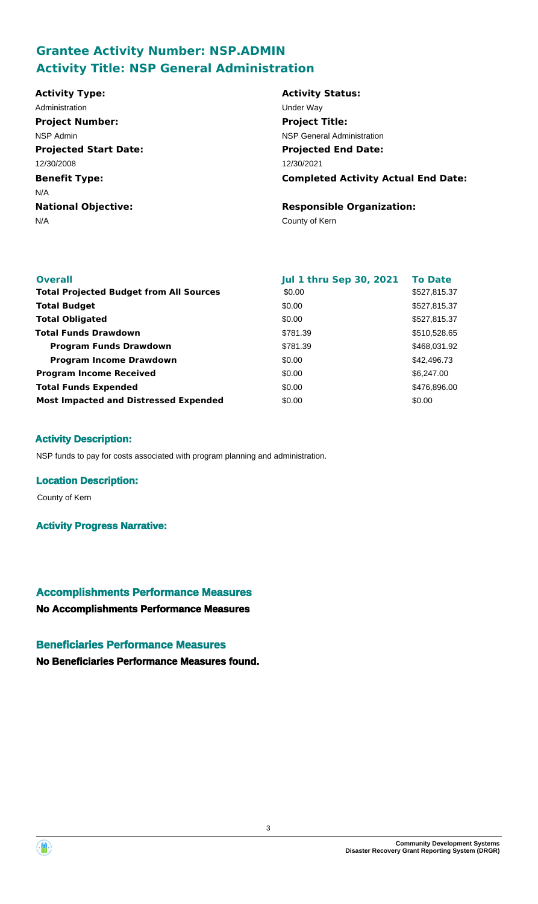## **Grantee Activity Number: NSP.ADMIN Activity Title: NSP General Administration**

| <b>Activity Type:</b>        | <b>Activity Status:</b>                    |
|------------------------------|--------------------------------------------|
| Administration               | Under Way                                  |
| <b>Project Number:</b>       | <b>Project Title:</b>                      |
| NSP Admin                    | <b>NSP General Administration</b>          |
| <b>Projected Start Date:</b> | <b>Projected End Date:</b>                 |
| 12/30/2008                   | 12/30/2021                                 |
| <b>Benefit Type:</b>         | <b>Completed Activity Actual End Date:</b> |
| N/A                          |                                            |
| <b>National Objective:</b>   | <b>Responsible Organization:</b>           |
| N/A                          | County of Kern                             |
|                              |                                            |
|                              |                                            |

| <b>Overall</b>                                 | <b>Jul 1 thru Sep 30, 2021</b> | <b>To Date</b> |
|------------------------------------------------|--------------------------------|----------------|
| <b>Total Projected Budget from All Sources</b> | \$0.00                         | \$527,815.37   |
| <b>Total Budget</b>                            | \$0.00                         | \$527,815.37   |
| <b>Total Obligated</b>                         | \$0.00                         | \$527,815.37   |
| <b>Total Funds Drawdown</b>                    | \$781.39                       | \$510,528.65   |
| <b>Program Funds Drawdown</b>                  | \$781.39                       | \$468,031.92   |
| <b>Program Income Drawdown</b>                 | \$0.00                         | \$42,496.73    |
| <b>Program Income Received</b>                 | \$0.00                         | \$6,247.00     |
| <b>Total Funds Expended</b>                    | \$0.00                         | \$476,896.00   |
| <b>Most Impacted and Distressed Expended</b>   | \$0.00                         | \$0.00         |

### **Activity Description:**

NSP funds to pay for costs associated with program planning and administration.

#### **Location Description:**

County of Kern

**Activity Progress Narrative:**

# **Accomplishments Performance Measures**

**No Accomplishments Performance Measures**

### **Beneficiaries Performance Measures**

**No Beneficiaries Performance Measures found.**